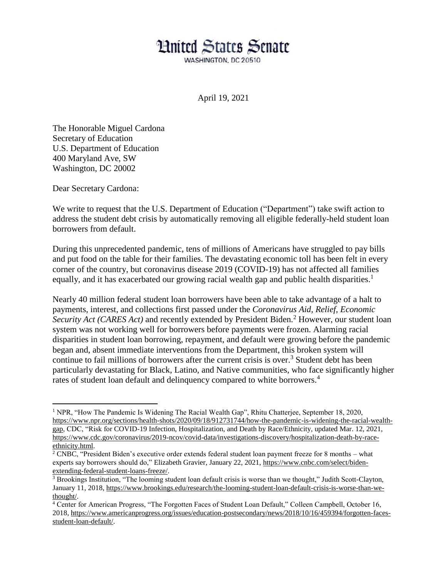## **Hnited States Senate**

WASHINGTON, DC 20510

April 19, 2021

The Honorable Miguel Cardona Secretary of Education U.S. Department of Education 400 Maryland Ave, SW Washington, DC 20002

Dear Secretary Cardona:

 $\overline{a}$ 

We write to request that the U.S. Department of Education ("Department") take swift action to address the student debt crisis by automatically removing all eligible federally-held student loan borrowers from default.

During this unprecedented pandemic, tens of millions of Americans have struggled to pay bills and put food on the table for their families. The devastating economic toll has been felt in every corner of the country, but coronavirus disease 2019 (COVID-19) has not affected all families equally, and it has exacerbated our growing racial wealth gap and public health disparities.<sup>1</sup>

Nearly 40 million federal student loan borrowers have been able to take advantage of a halt to payments, interest, and collections first passed under the *Coronavirus Aid, Relief, Economic Security Act* (*CARES Act*) and recently extended by President Biden.<sup>2</sup> However, our student loan system was not working well for borrowers before payments were frozen. Alarming racial disparities in student loan borrowing, repayment, and default were growing before the pandemic began and, absent immediate interventions from the Department, this broken system will continue to fail millions of borrowers after the current crisis is over.<sup>3</sup> Student debt has been particularly devastating for Black, Latino, and Native communities, who face significantly higher rates of student loan default and delinquency compared to white borrowers.<sup>4</sup>

<sup>1</sup> NPR, "How The Pandemic Is Widening The Racial Wealth Gap", Rhitu Chatterjee, September 18, 2020, [https://www.npr.org/sections/health-shots/2020/09/18/912731744/how-the-pandemic-is-widening-the-racial-wealth](https://www.npr.org/sections/health-shots/2020/09/18/912731744/how-the-pandemic-is-widening-the-racial-wealth-gap)[gap,](https://www.npr.org/sections/health-shots/2020/09/18/912731744/how-the-pandemic-is-widening-the-racial-wealth-gap) CDC, "Risk for COVID-19 Infection, Hospitalization, and Death by Race/Ethnicity, updated Mar. 12, 2021, [https://www.cdc.gov/coronavirus/2019-ncov/covid-data/investigations-discovery/hospitalization-death-by-race](https://www.cdc.gov/coronavirus/2019-ncov/covid-data/investigations-discovery/hospitalization-death-by-race-ethnicity.html)[ethnicity.html.](https://www.cdc.gov/coronavirus/2019-ncov/covid-data/investigations-discovery/hospitalization-death-by-race-ethnicity.html)

<sup>2</sup> CNBC, "President Biden's executive order extends federal student loan payment freeze for 8 months – what experts say borrowers should do," Elizabeth Gravier, January 22, 2021, [https://www.cnbc.com/select/biden](https://www.cnbc.com/select/biden-extending-federal-student-loans-freeze/)[extending-federal-student-loans-freeze/.](https://www.cnbc.com/select/biden-extending-federal-student-loans-freeze/)

<sup>&</sup>lt;sup>3</sup> Brookings Institution, "The looming student loan default crisis is worse than we thought," Judith Scott-Clayton, January 11, 2018[, https://www.brookings.edu/research/the-looming-student-loan-default-crisis-is-worse-than-we](https://www.brookings.edu/research/the-looming-student-loan-default-crisis-is-worse-than-we-thought/)[thought/.](https://www.brookings.edu/research/the-looming-student-loan-default-crisis-is-worse-than-we-thought/)

<sup>4</sup> Center for American Progress, "The Forgotten Faces of Student Loan Default," Colleen Campbell, October 16, 2018, [https://www.americanprogress.org/issues/education-postsecondary/news/2018/10/16/459394/forgotten-faces](https://www.americanprogress.org/issues/education-postsecondary/news/2018/10/16/459394/forgotten-faces-student-loan-default/)[student-loan-default/.](https://www.americanprogress.org/issues/education-postsecondary/news/2018/10/16/459394/forgotten-faces-student-loan-default/)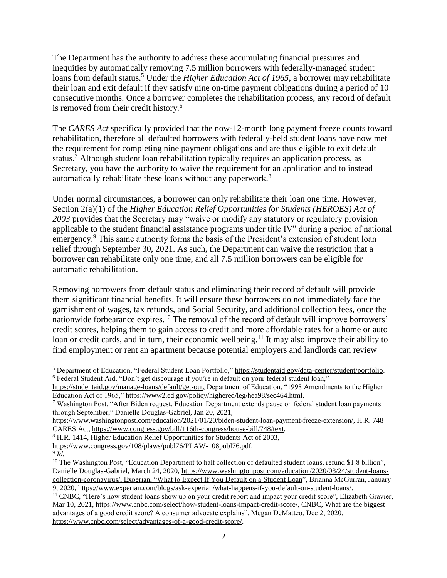The Department has the authority to address these accumulating financial pressures and inequities by automatically removing 7.5 million borrowers with federally-managed student loans from default status.<sup>5</sup> Under the *Higher Education Act of 1965*, a borrower may rehabilitate their loan and exit default if they satisfy nine on-time payment obligations during a period of 10 consecutive months. Once a borrower completes the rehabilitation process, any record of default is removed from their credit history.<sup>6</sup>

The *CARES Act* specifically provided that the now-12-month long payment freeze counts toward rehabilitation, therefore all defaulted borrowers with federally-held student loans have now met the requirement for completing nine payment obligations and are thus eligible to exit default status.<sup>7</sup> Although student loan rehabilitation typically requires an application process, as Secretary, you have the authority to waive the requirement for an application and to instead automatically rehabilitate these loans without any paperwork.<sup>8</sup>

Under normal circumstances, a borrower can only rehabilitate their loan one time. However, Section 2(a)(1) of the *Higher Education Relief Opportunities for Students (HEROES) Act of 2003* provides that the Secretary may "waive or modify any statutory or regulatory provision applicable to the student financial assistance programs under title IV" during a period of national emergency.<sup>9</sup> This same authority forms the basis of the President's extension of student loan relief through September 30, 2021. As such, the Department can waive the restriction that a borrower can rehabilitate only one time, and all 7.5 million borrowers can be eligible for automatic rehabilitation.

Removing borrowers from default status and eliminating their record of default will provide them significant financial benefits. It will ensure these borrowers do not immediately face the garnishment of wages, tax refunds, and Social Security, and additional collection fees, once the nationwide forbearance expires.<sup>10</sup> The removal of the record of default will improve borrowers' credit scores, helping them to gain access to credit and more affordable rates for a home or auto loan or credit cards, and in turn, their economic wellbeing.<sup>11</sup> It may also improve their ability to find employment or rent an apartment because potential employers and landlords can review

 $\overline{a}$ 

<sup>5</sup> Department of Education, "Federal Student Loan Portfolio," [https://studentaid.gov/data-center/student/portfolio.](https://studentaid.gov/data-center/student/portfolio) <sup>6</sup> Federal Student Aid, "Don't get discourage if you're in default on your federal student loan,"

[https://studentaid.gov/manage-loans/default/get-out,](https://studentaid.gov/manage-loans/default/get-out) Department of Education, "1998 Amendments to the Higher Education Act of 1965," [https://www2.ed.gov/policy/highered/leg/hea98/sec464.html.](https://www2.ed.gov/policy/highered/leg/hea98/sec464.html)

<sup>7</sup> Washington Post, "After Biden request, Education Department extends pause on federal student loan payments through September," Danielle Douglas-Gabriel, Jan 20, 2021,

[https://www.washingtonpost.com/education/2021/01/20/biden-student-loan-payment-freeze-extension/,](https://www.washingtonpost.com/education/2021/01/20/biden-student-loan-payment-freeze-extension/) H.R. 748 CARES Act, [https://www.congress.gov/bill/116th-congress/house-bill/748/text.](https://www.congress.gov/bill/116th-congress/house-bill/748/text)

<sup>8</sup> H.R. 1414, Higher Education Relief Opportunities for Students Act of 2003,

[https://www.congress.gov/108/plaws/publ76/PLAW-108publ76.pdf.](https://www.congress.gov/108/plaws/publ76/PLAW-108publ76.pdf)

<sup>9</sup> *Id.*

<sup>&</sup>lt;sup>10</sup> The Washington Post, "Education Department to halt collection of defaulted student loans, refund \$1.8 billion", Danielle Douglas-Gabriel, March 24, 2020[, https://www.washingtonpost.com/education/2020/03/24/student-loans](https://www.washingtonpost.com/education/2020/03/24/student-loans-collection-coronavirus/,%20Experian,)[collection-coronavirus/, Experian, "What to Expect If You Default on a](https://www.washingtonpost.com/education/2020/03/24/student-loans-collection-coronavirus/,%20Experian,) Student Loan", Brianna McGurran, January 9, 2020, [https://www.experian.com/blogs/ask-experian/what-happens-if-you-default-on-student-loans/.](https://www.experian.com/blogs/ask-experian/what-happens-if-you-default-on-student-loans/)

<sup>&</sup>lt;sup>11</sup> CNBC, "Here's how student loans show up on your credit report and impact your credit score", Elizabeth Gravier, Mar 10, 2021, [https://www.cnbc.com/select/how-student-loans-impact-credit-score/,](https://www.cnbc.com/select/how-student-loans-impact-credit-score/) CNBC, What are the biggest advantages of a good credit score? A consumer advocate explains", Megan DeMatteo, Dec 2, 2020, [https://www.cnbc.com/select/advantages-of-a-good-credit-score/.](https://www.cnbc.com/select/advantages-of-a-good-credit-score/)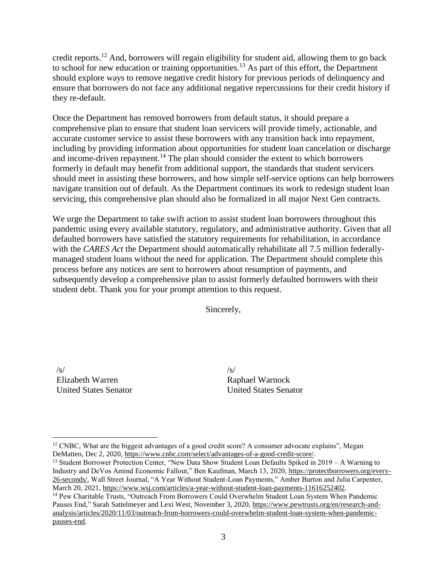credit reports.<sup>12</sup> And, borrowers will regain eligibility for student aid, allowing them to go back to school for new education or training opportunities.<sup>13</sup> As part of this effort, the Department should explore ways to remove negative credit history for previous periods of delinquency and ensure that borrowers do not face any additional negative repercussions for their credit history if they re-default.

Once the Department has removed borrowers from default status, it should prepare a comprehensive plan to ensure that student loan servicers will provide timely, actionable, and accurate customer service to assist these borrowers with any transition back into repayment, including by providing information about opportunities for student loan cancelation or discharge and income-driven repayment.<sup>14</sup> The plan should consider the extent to which borrowers formerly in default may benefit from additional support, the standards that student servicers should meet in assisting these borrowers, and how simple self-service options can help borrowers navigate transition out of default. As the Department continues its work to redesign student loan servicing, this comprehensive plan should also be formalized in all major Next Gen contracts.

We urge the Department to take swift action to assist student loan borrowers throughout this pandemic using every available statutory, regulatory, and administrative authority. Given that all defaulted borrowers have satisfied the statutory requirements for rehabilitation, in accordance with the *CARES Act* the Department should automatically rehabilitate all 7.5 million federallymanaged student loans without the need for application. The Department should complete this process before any notices are sent to borrowers about resumption of payments, and subsequently develop a comprehensive plan to assist formerly defaulted borrowers with their student debt. Thank you for your prompt attention to this request.

Sincerely,

 $\sqrt{s}$ Elizabeth Warren United States Senator

 $\overline{a}$ 

 $\sqrt{s}$ Raphael Warnock United States Senator

<sup>&</sup>lt;sup>12</sup> CNBC, What are the biggest advantages of a good credit score? A consumer advocate explains", Megan DeMatteo, Dec 2, 2020[, https://www.cnbc.com/select/advantages-of-a-good-credit-score/.](https://www.cnbc.com/select/advantages-of-a-good-credit-score/)

<sup>&</sup>lt;sup>13</sup> Student Borrower Protection Center, "New Data Show Student Loan Defaults Spiked in 2019 – A Warning to Industry and DeVos Amind Economic Fallout," Ben Kaufman, March 13, 2020, [https://protectborrowers.org/every-](https://protectborrowers.org/every-26-seconds/)[26-seconds/,](https://protectborrowers.org/every-26-seconds/) Wall Street Journal, "A Year Without Student-Loan Payments," Amber Burton and Julia Carpenter, March 20, 2021[, https://www.wsj.com/articles/a-year-without-student-loan-payments-11616252402.](https://www.wsj.com/articles/a-year-without-student-loan-payments-11616252402)

<sup>14</sup> Pew Charitable Trusts, "Outreach From Borrowers Could Overwhelm Student Loan System When Pandemic Pauses End," Sarah Sattelmeyer and Lexi West, November 3, 2020, [https://www.pewtrusts.org/en/research-and](https://www.pewtrusts.org/en/research-and-analysis/articles/2020/11/03/outreach-from-borrowers-could-overwhelm-student-loan-system-when-pandemic-pauses-end)[analysis/articles/2020/11/03/outreach-from-borrowers-could-overwhelm-student-loan-system-when-pandemic](https://www.pewtrusts.org/en/research-and-analysis/articles/2020/11/03/outreach-from-borrowers-could-overwhelm-student-loan-system-when-pandemic-pauses-end)[pauses-end.](https://www.pewtrusts.org/en/research-and-analysis/articles/2020/11/03/outreach-from-borrowers-could-overwhelm-student-loan-system-when-pandemic-pauses-end)